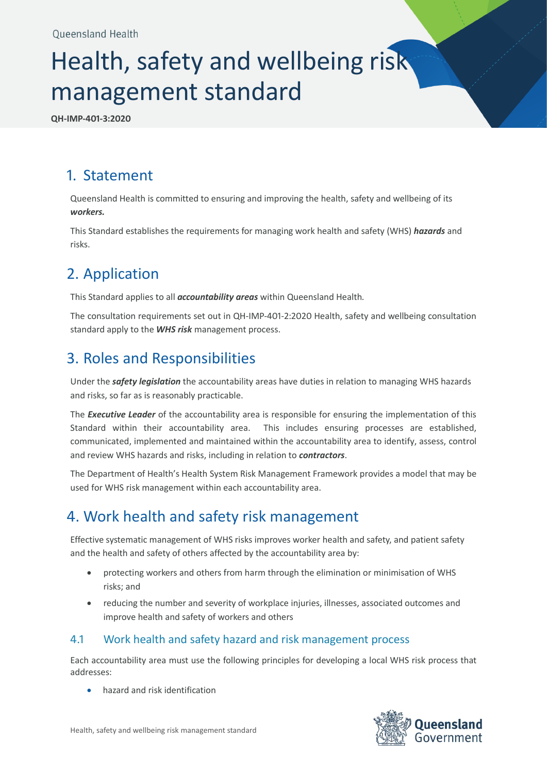# Health, safety and wellbeing risk management standard

**QH-IMP-401-3:2020**

## 1. Statement

Queensland Health is committed to ensuring and improving the health, safety and wellbeing of its *workers.*

This Standard establishes the requirements for managing work health and safety (WHS) *hazards* and risks.

# 2. Application

This Standard applies to all *accountability areas* within Queensland Health*.*

The consultation requirements set out in QH-IMP-401-2:2020 Health, safety and wellbeing consultation standard apply to the *WHS risk* management process.

# 3. Roles and Responsibilities

Under the *safety legislation* the accountability areas have duties in relation to managing WHS hazards and risks, so far as is reasonably practicable.

The *Executive Leader* of the accountability area is responsible for ensuring the implementation of this Standard within their accountability area. This includes ensuring processes are established, communicated, implemented and maintained within the accountability area to identify, assess, control and review WHS hazards and risks, including in relation to *contractors*.

The Department of Health's Health System Risk Management Framework provides a model that may be used for WHS risk management within each accountability area.

# 4. Work health and safety risk management

Effective systematic management of WHS risks improves worker health and safety, and patient safety and the health and safety of others affected by the accountability area by:

- protecting workers and others from harm through the elimination or minimisation of WHS risks; and
- reducing the number and severity of workplace injuries, illnesses, associated outcomes and improve health and safety of workers and others

#### 4.1 Work health and safety hazard and risk management process

Each accountability area must use the following principles for developing a local WHS risk process that addresses:

• hazard and risk identification

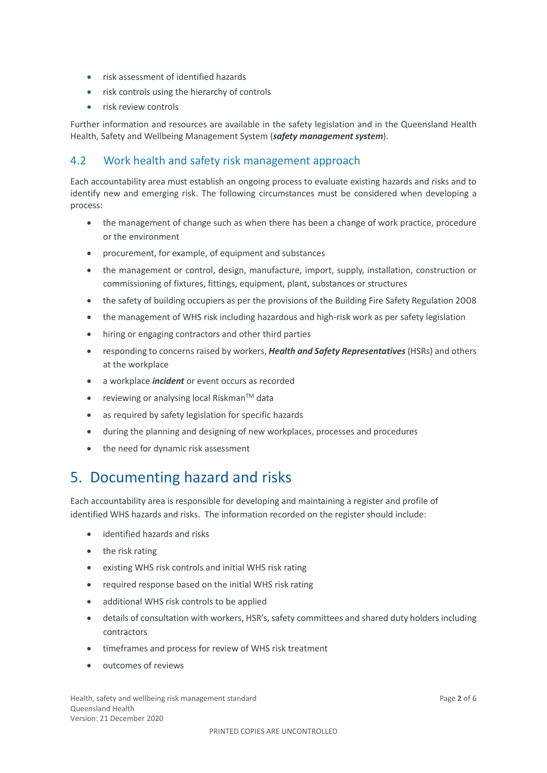- risk assessment of identified hazards
- risk controls using the hierarchy of controls
- risk review controls

Further information and resources are available in the safety legislation and in the Queensland Health Health, Safety and Wellbeing Management System (*safety management system*).

#### 4.2 Work health and safety risk management approach

Each accountability area must establish an ongoing process to evaluate existing hazards and risks and to identify new and emerging risk. The following circumstances must be considered when developing a process:

- the management of change such as when there has been a change of work practice, procedure or the environment
- procurement, for example, of equipment and substances
- the management or control, design, manufacture, import, supply, installation, construction or commissioning of fixtures, fittings, equipment, plant, substances or structures
- the safety of building occupiers as per the provisions of the Building Fire Safety Regulation 2008
- the management of WHS risk including hazardous and high-risk work as per safety legislation
- hiring or engaging contractors and other third parties
- responding to concerns raised by workers, *Health and Safety Representatives* (HSRs) and others at the workplace
- a workplace *incident* or event occurs as recorded
- reviewing or analysing local Riskman<sup>TM</sup> data
- as required by safety legislation for specific hazards
- during the planning and designing of new workplaces, processes and procedures
- the need for dynamic risk assessment

#### 5. Documenting hazard and risks

Each accountability area is responsible for developing and maintaining a register and profile of identified WHS hazards and risks. The information recorded on the register should include:

- identified hazards and risks
- the risk rating
- existing WHS risk controls and initial WHS risk rating
- required response based on the initial WHS risk rating
- additional WHS risk controls to be applied
- details of consultation with workers, HSR's, safety committees and shared duty holders including contractors
- timeframes and process for review of WHS risk treatment
- outcomes of reviews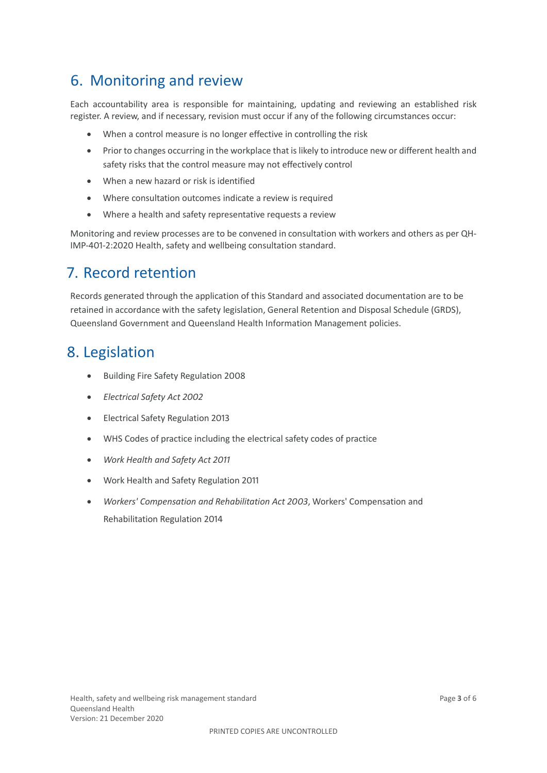## 6. Monitoring and review

Each accountability area is responsible for maintaining, updating and reviewing an established risk register. A review, and if necessary, revision must occur if any of the following circumstances occur:

- When a control measure is no longer effective in controlling the risk
- Prior to changes occurring in the workplace that is likely to introduce new or different health and safety risks that the control measure may not effectively control
- When a new hazard or risk is identified
- Where consultation outcomes indicate a review is required
- Where a health and safety representative requests a review

Monitoring and review processes are to be convened in consultation with workers and others as per QH-IMP-401-2:2020 Health, safety and wellbeing consultation standard.

### 7. Record retention

Records generated through the application of this Standard and associated documentation are to be retained in accordance with the safety legislation, General Retention and Disposal Schedule (GRDS), Queensland Government and Queensland Health Information Management policies.

#### 8. Legislation

- Building Fire Safety Regulation 2008
- *Electrical Safety Act 2002*
- Electrical Safety Regulation 2013
- WHS Codes of practice including the electrical safety codes of practice
- *Work Health and Safety Act 2011*
- Work Health and Safety Regulation 2011
- *Workers' Compensation and Rehabilitation Act 2003*, Workers' Compensation and Rehabilitation Regulation 2014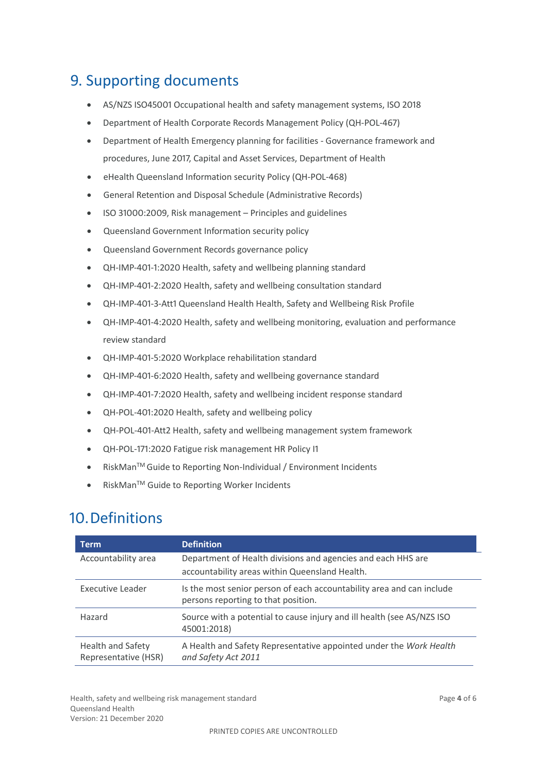# 9. Supporting documents

- AS/NZS ISO45001 Occupational health and safety management systems, ISO 2018
- Department of Health Corporate Records Management Policy (QH-POL-467)
- Department of Health Emergency planning for facilities Governance framework and procedures, June 2017, Capital and Asset Services, Department of Health
- eHealth Queensland Information security Policy (QH-POL-468)
- General Retention and Disposal Schedule (Administrative Records)
- ISO 31000:2009, Risk management Principles and guidelines
- Queensland Government Information security policy
- Queensland Government Records governance policy
- QH-IMP-401-1:2020 Health, safety and wellbeing planning standard
- QH-IMP-401-2:2020 Health, safety and wellbeing consultation standard
- QH-IMP-401-3-Att1 Queensland Health Health, Safety and Wellbeing Risk Profile
- QH-IMP-401-4:2020 Health, safety and wellbeing monitoring, evaluation and performance review standard
- QH-IMP-401-5:2020 Workplace rehabilitation standard
- QH-IMP-401-6:2020 Health, safety and wellbeing governance standard
- QH-IMP-401-7:2020 Health, safety and wellbeing incident response standard
- QH-POL-401:2020 Health, safety and wellbeing policy
- QH-POL-401-Att2 Health, safety and wellbeing management system framework
- QH-POL-171:2020 Fatigue risk management HR Policy I1
- RiskManTM Guide to Reporting Non-Individual / Environment Incidents
- RiskMan™ Guide to Reporting Worker Incidents

#### 10.Definitions

| Term                                      | <b>Definition</b>                                                                                            |
|-------------------------------------------|--------------------------------------------------------------------------------------------------------------|
| Accountability area                       | Department of Health divisions and agencies and each HHS are                                                 |
|                                           | accountability areas within Queensland Health.                                                               |
| Executive Leader                          | Is the most senior person of each accountability area and can include<br>persons reporting to that position. |
| Hazard                                    | Source with a potential to cause injury and ill health (see AS/NZS ISO<br>45001:2018)                        |
| Health and Safety<br>Representative (HSR) | A Health and Safety Representative appointed under the Work Health<br>and Safety Act 2011                    |

Health, safety and wellbeing risk management standard **Page 4** of 6 Queensland Health Version: 21 December 2020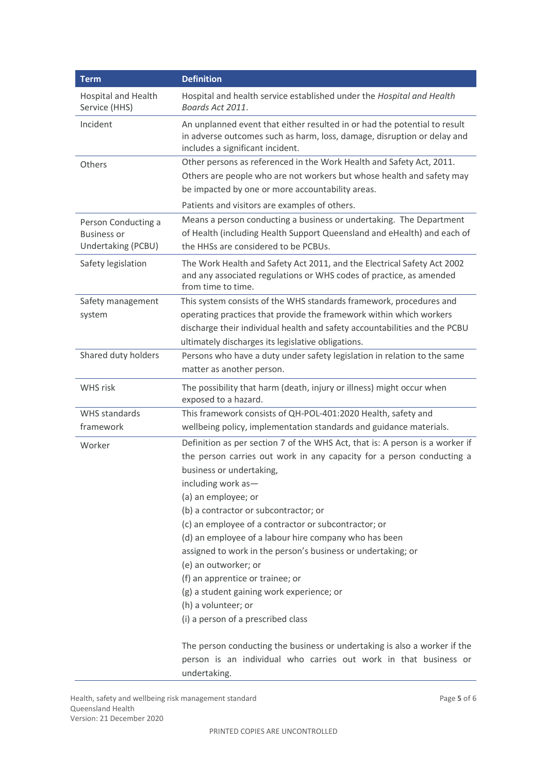| <b>Term</b>                                                     | <b>Definition</b>                                                                                                                                                                                                                                                                                                                                                                                                                                                                                                                                                                                                                                                                                           |
|-----------------------------------------------------------------|-------------------------------------------------------------------------------------------------------------------------------------------------------------------------------------------------------------------------------------------------------------------------------------------------------------------------------------------------------------------------------------------------------------------------------------------------------------------------------------------------------------------------------------------------------------------------------------------------------------------------------------------------------------------------------------------------------------|
| <b>Hospital and Health</b><br>Service (HHS)                     | Hospital and health service established under the Hospital and Health<br>Boards Act 2011.                                                                                                                                                                                                                                                                                                                                                                                                                                                                                                                                                                                                                   |
| Incident                                                        | An unplanned event that either resulted in or had the potential to result<br>in adverse outcomes such as harm, loss, damage, disruption or delay and<br>includes a significant incident.                                                                                                                                                                                                                                                                                                                                                                                                                                                                                                                    |
| Others                                                          | Other persons as referenced in the Work Health and Safety Act, 2011.<br>Others are people who are not workers but whose health and safety may<br>be impacted by one or more accountability areas.                                                                                                                                                                                                                                                                                                                                                                                                                                                                                                           |
|                                                                 | Patients and visitors are examples of others.                                                                                                                                                                                                                                                                                                                                                                                                                                                                                                                                                                                                                                                               |
| Person Conducting a<br><b>Business or</b><br>Undertaking (PCBU) | Means a person conducting a business or undertaking. The Department<br>of Health (including Health Support Queensland and eHealth) and each of<br>the HHSs are considered to be PCBUs.                                                                                                                                                                                                                                                                                                                                                                                                                                                                                                                      |
| Safety legislation                                              | The Work Health and Safety Act 2011, and the Electrical Safety Act 2002<br>and any associated regulations or WHS codes of practice, as amended<br>from time to time.                                                                                                                                                                                                                                                                                                                                                                                                                                                                                                                                        |
| Safety management<br>system                                     | This system consists of the WHS standards framework, procedures and<br>operating practices that provide the framework within which workers<br>discharge their individual health and safety accountabilities and the PCBU<br>ultimately discharges its legislative obligations.                                                                                                                                                                                                                                                                                                                                                                                                                              |
| Shared duty holders                                             | Persons who have a duty under safety legislation in relation to the same<br>matter as another person.                                                                                                                                                                                                                                                                                                                                                                                                                                                                                                                                                                                                       |
| WHS risk                                                        | The possibility that harm (death, injury or illness) might occur when<br>exposed to a hazard.                                                                                                                                                                                                                                                                                                                                                                                                                                                                                                                                                                                                               |
| WHS standards<br>framework                                      | This framework consists of QH-POL-401:2020 Health, safety and<br>wellbeing policy, implementation standards and guidance materials.                                                                                                                                                                                                                                                                                                                                                                                                                                                                                                                                                                         |
| Worker                                                          | Definition as per section 7 of the WHS Act, that is: A person is a worker if<br>the person carries out work in any capacity for a person conducting a<br>business or undertaking,<br>including work as-<br>(a) an employee; or<br>(b) a contractor or subcontractor; or<br>(c) an employee of a contractor or subcontractor; or<br>(d) an employee of a labour hire company who has been<br>assigned to work in the person's business or undertaking; or<br>(e) an outworker; or<br>(f) an apprentice or trainee; or<br>(g) a student gaining work experience; or<br>(h) a volunteer; or<br>(i) a person of a prescribed class<br>The person conducting the business or undertaking is also a worker if the |
|                                                                 | person is an individual who carries out work in that business or                                                                                                                                                                                                                                                                                                                                                                                                                                                                                                                                                                                                                                            |

Health, safety and wellbeing risk management standard **Page 5** of 6 Queensland Health Version: 21 December 2020

undertaking.